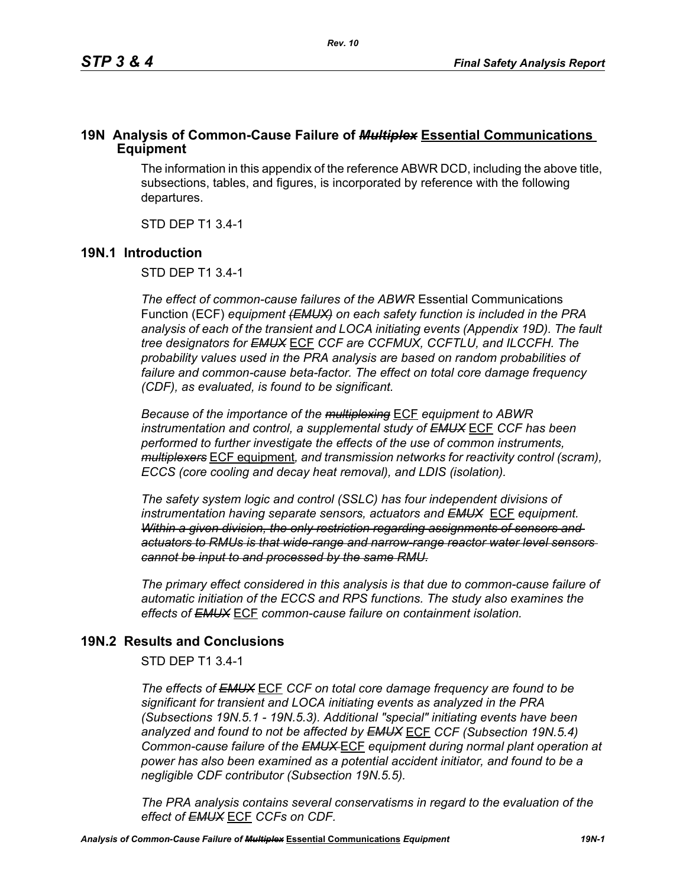## **19N Analysis of Common-Cause Failure of** *Multiplex* **Essential Communications Equipment**

The information in this appendix of the reference ABWR DCD, including the above title, subsections, tables, and figures, is incorporated by reference with the following departures.

STD DEP T1 3.4-1

## **19N.1 Introduction**

STD DEP T1 3.4-1

*The effect of common-cause failures of the ABWR* Essential Communications Function (ECF) *equipment (EMUX) on each safety function is included in the PRA analysis of each of the transient and LOCA initiating events (Appendix 19D). The fault tree designators for EMUX* ECF *CCF are CCFMUX, CCFTLU, and ILCCFH. The probability values used in the PRA analysis are based on random probabilities of failure and common-cause beta-factor. The effect on total core damage frequency (CDF), as evaluated, is found to be significant.* 

*Because of the importance of the multiplexing* ECF *equipment to ABWR instrumentation and control, a supplemental study of EMUX* ECF *CCF has been performed to further investigate the effects of the use of common instruments, multiplexers* ECF equipment*, and transmission networks for reactivity control (scram), ECCS (core cooling and decay heat removal), and LDIS (isolation).* 

*The safety system logic and control (SSLC) has four independent divisions of instrumentation having separate sensors, actuators and EMUX* ECF *equipment. Within a given division, the only restriction regarding assignments of sensors and actuators to RMUs is that wide-range and narrow-range reactor water level sensors cannot be input to and processed by the same RMU.*

*The primary effect considered in this analysis is that due to common-cause failure of automatic initiation of the ECCS and RPS functions. The study also examines the effects of EMUX* ECF *common-cause failure on containment isolation.* 

# **19N.2 Results and Conclusions**

STD DEP T1 3.4-1

*The effects of EMUX* ECF *CCF on total core damage frequency are found to be significant for transient and LOCA initiating events as analyzed in the PRA (Subsections 19N.5.1 - 19N.5.3). Additional "special" initiating events have been analyzed and found to not be affected by EMUX* ECF *CCF (Subsection 19N.5.4) Common-cause failure of the EMUX* ECF *equipment during normal plant operation at power has also been examined as a potential accident initiator, and found to be a negligible CDF contributor (Subsection 19N.5.5).* 

*The PRA analysis contains several conservatisms in regard to the evaluation of the effect of EMUX* ECF *CCFs on CDF.*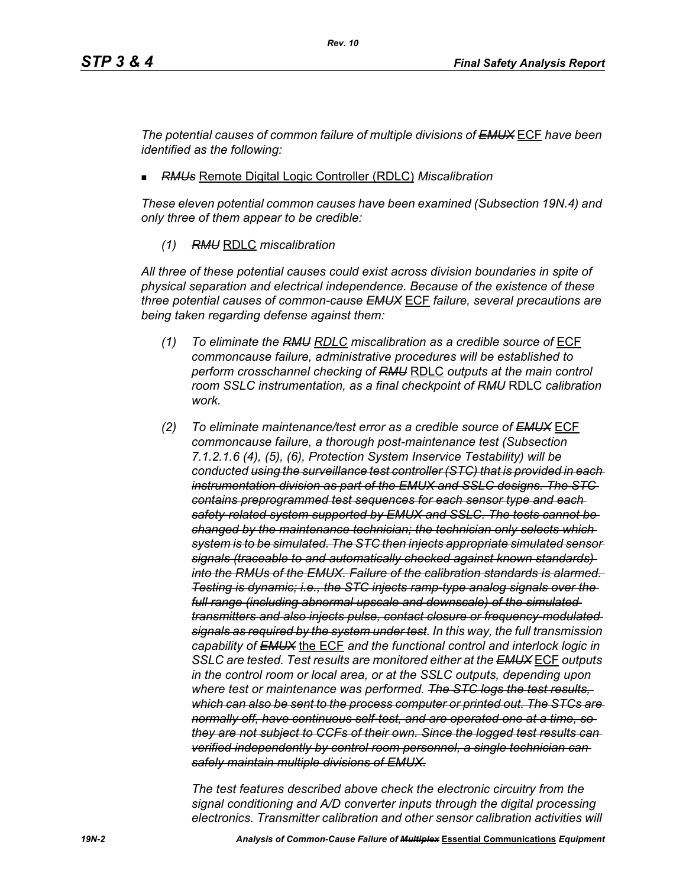*The potential causes of common failure of multiple divisions of EMUX* ECF *have been identified as the following:*

*RMUs* Remote Digital Logic Controller (RDLC) *Miscalibration*

*These eleven potential common causes have been examined (Subsection 19N.4) and only three of them appear to be credible:*

*(1) RMU* RDLC *miscalibration*

*All three of these potential causes could exist across division boundaries in spite of physical separation and electrical independence. Because of the existence of these three potential causes of common-cause EMUX* ECF *failure, several precautions are being taken regarding defense against them:*

- *(1) To eliminate the RMU RDLC miscalibration as a credible source of* ECF *commoncause failure, administrative procedures will be established to perform crosschannel checking of RMU* RDLC *outputs at the main control room SSLC instrumentation, as a final checkpoint of RMU* RDLC *calibration work.*
- *(2) To eliminate maintenance/test error as a credible source of EMUX* ECF *commoncause failure, a thorough post-maintenance test (Subsection 7.1.2.1.6 (4), (5), (6), Protection System Inservice Testability) will be conducted using the surveillance test controller (STC) that is provided in each instrumentation division as part of the EMUX and SSLC designs. The STC contains preprogrammed test sequences for each sensor type and each safety-related system supported by EMUX and SSLC. The tests cannot be changed by the maintenance technician; the technician only selects which system is to be simulated. The STC then injects appropriate simulated sensor signals (traceable to and automatically checked against known standards) into the RMUs of the EMUX. Failure of the calibration standards is alarmed. Testing is dynamic; i.e., the STC injects ramp-type analog signals over the full range (including abnormal upscale and downscale) of the simulated transmitters and also injects pulse, contact closure or frequency-modulated signals as required by the system under test. In this way, the full transmission capability of EMUX* the ECF *and the functional control and interlock logic in SSLC are tested. Test results are monitored either at the EMUX* ECF *outputs in the control room or local area, or at the SSLC outputs, depending upon where test or maintenance was performed. The STC logs the test results, which can also be sent to the process computer or printed out. The STCs are normally off, have continuous self-test, and are operated one at a time, so they are not subject to CCFs of their own. Since the logged test results can verified independently by control room personnel, a single technician can safely maintain multiple divisions of EMUX.*

*The test features described above check the electronic circuitry from the signal conditioning and A/D converter inputs through the digital processing electronics. Transmitter calibration and other sensor calibration activities will*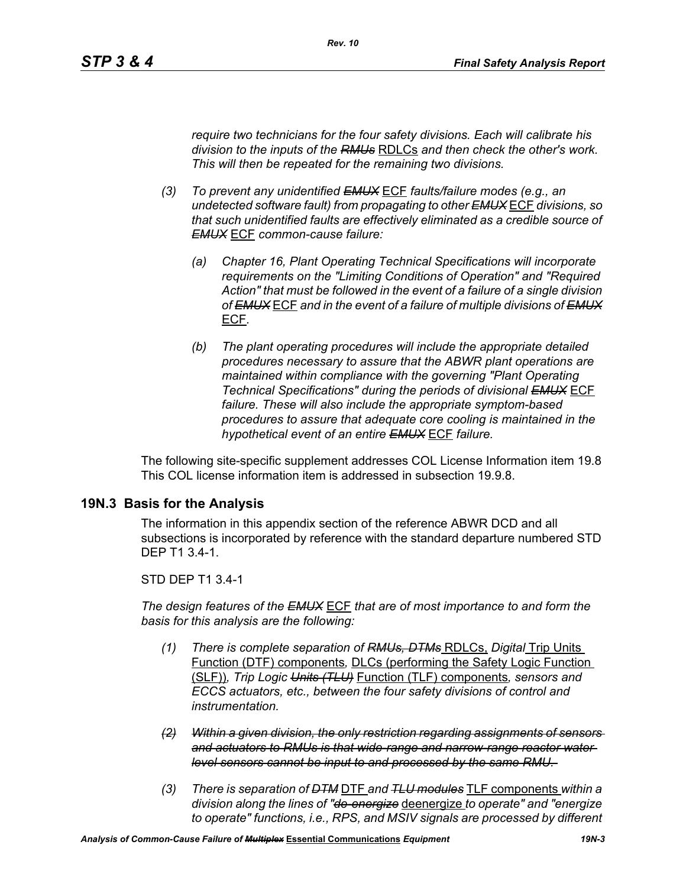*require two technicians for the four safety divisions. Each will calibrate his division to the inputs of the RMUs* RDLCs *and then check the other's work. This will then be repeated for the remaining two divisions.*

- *(3) To prevent any unidentified EMUX* ECF *faults/failure modes (e.g., an undetected software fault) from propagating to other EMUX* ECF *divisions, so that such unidentified faults are effectively eliminated as a credible source of EMUX* ECF *common-cause failure:* 
	- *(a) Chapter 16, Plant Operating Technical Specifications will incorporate requirements on the "Limiting Conditions of Operation" and "Required Action" that must be followed in the event of a failure of a single division of EMUX* ECF *and in the event of a failure of multiple divisions of EMUX* ECF*.*
	- *(b) The plant operating procedures will include the appropriate detailed procedures necessary to assure that the ABWR plant operations are maintained within compliance with the governing "Plant Operating Technical Specifications" during the periods of divisional EMUX* ECF *failure. These will also include the appropriate symptom-based procedures to assure that adequate core cooling is maintained in the hypothetical event of an entire EMUX* ECF *failure.*

The following site-specific supplement addresses COL License Information item 19.8 This COL license information item is addressed in subsection 19.9.8.

## **19N.3 Basis for the Analysis**

The information in this appendix section of the reference ABWR DCD and all subsections is incorporated by reference with the standard departure numbered STD DEP T1 3.4-1.

## STD DEP T1 3.4-1

*The design features of the EMUX* ECF *that are of most importance to and form the basis for this analysis are the following:*

- *(1) There is complete separation of RMUs, DTMs* RDLCs, *Digital* Trip Units Function (DTF) components*,* DLCs (performing the Safety Logic Function (SLF))*, Trip Logic Units (TLU)* Function (TLF) components*, sensors and ECCS actuators, etc., between the four safety divisions of control and instrumentation.*
- *(2) Within a given division, the only restriction regarding assignments of sensors and actuators to RMUs is that wide-range and narrow-range reactor water level sensors cannot be input to and processed by the same RMU.*
- *(3) There is separation of DTM* DTF *and TLU modules* TLF components *within a division along the lines of "de-energize* deenergize *to operate" and "energize to operate" functions, i.e., RPS, and MSIV signals are processed by different*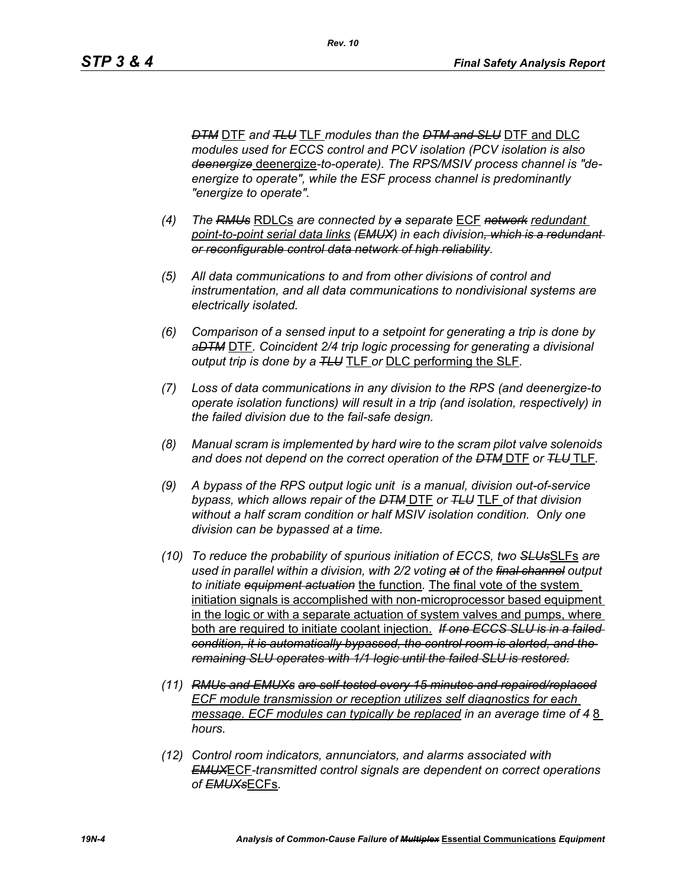*DTM* DTF *and TLU* TLF *modules than the DTM and SLU* DTF and DLC *modules used for ECCS control and PCV isolation (PCV isolation is also deenergize* deenergize*-to-operate). The RPS/MSIV process channel is "deenergize to operate", while the ESF process channel is predominantly "energize to operate".* 

- *(4) The RMUs* RDLCs *are connected by a separate* ECF *network redundant point-to-point serial data links (EMUX) in each division, which is a redundant or reconfigurable control data network of high reliability.*
- *(5) All data communications to and from other divisions of control and instrumentation, and all data communications to nondivisional systems are electrically isolated.*
- *(6) Comparison of a sensed input to a setpoint for generating a trip is done by aDTM* DTF*. Coincident 2/4 trip logic processing for generating a divisional output trip is done by a TLU* TLF *or* DLC performing the SLF*.*
- *(7) Loss of data communications in any division to the RPS (and deenergize-to operate isolation functions) will result in a trip (and isolation, respectively) in the failed division due to the fail-safe design.*
- *(8) Manual scram is implemented by hard wire to the scram pilot valve solenoids and does not depend on the correct operation of the DTM* DTF *or TLU* TLF*.*
- *(9) A bypass of the RPS output logic unit is a manual, division out-of-service bypass, which allows repair of the DTM* DTF *or TLU* TLF *of that division without a half scram condition or half MSIV isolation condition. Only one division can be bypassed at a time.*
- *(10) To reduce the probability of spurious initiation of ECCS, two SLUs*SLFs *are used in parallel within a division, with 2/2 voting at of the final channel output to initiate equipment actuation* the function*.* The final vote of the system initiation signals is accomplished with non-microprocessor based equipment in the logic or with a separate actuation of system valves and pumps, where both are required to initiate coolant injection. *If one ECCS SLU is in a failed condition, it is automatically bypassed, the control room is alerted, and the remaining SLU operates with 1/1 logic until the failed SLU is restored.*
- *(11) RMUs and EMUXs are self-tested every 15 minutes and repaired/replaced ECF module transmission or reception utilizes self diagnostics for each message. ECF modules can typically be replaced in an average time of 48 hours.*
- *(12) Control room indicators, annunciators, and alarms associated with EMUX*ECF*-transmitted control signals are dependent on correct operations of EMUXs*ECFs*.*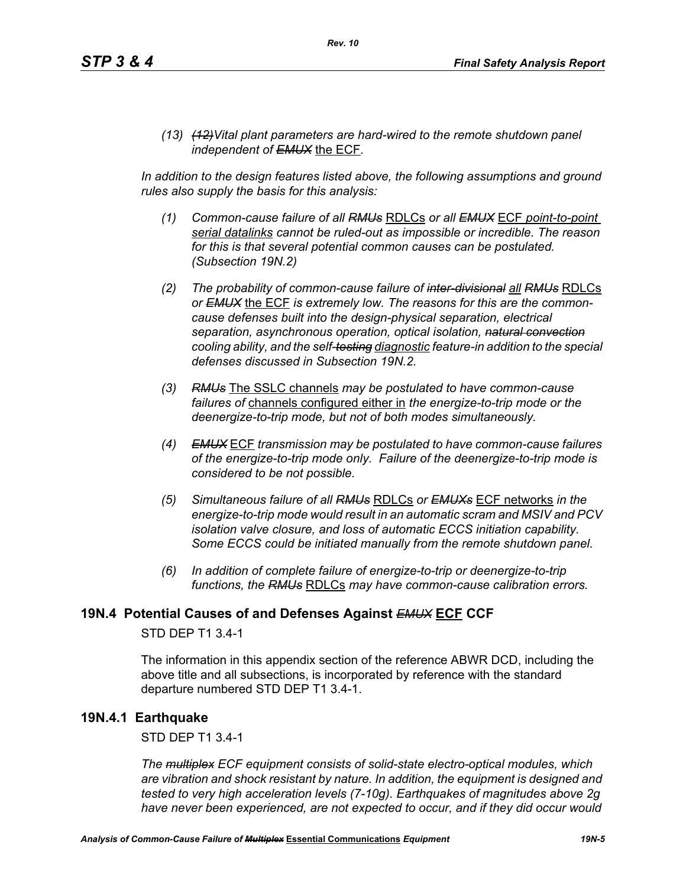*(13) (12)Vital plant parameters are hard-wired to the remote shutdown panel independent of EMUX* the ECF*.* 

In addition to the design features listed above, the following assumptions and ground *rules also supply the basis for this analysis:*

- *(1) Common-cause failure of all RMUs* RDLCs *or all EMUX* ECF *point-to-point serial datalinks cannot be ruled-out as impossible or incredible. The reason for this is that several potential common causes can be postulated. (Subsection 19N.2)*
- *(2) The probability of common-cause failure of inter-divisional all RMUs* RDLCs *or EMUX* the ECF *is extremely low. The reasons for this are the commoncause defenses built into the design-physical separation, electrical separation, asynchronous operation, optical isolation, natural convection cooling ability, and the self-testing diagnostic feature-in addition to the special defenses discussed in Subsection 19N.2.*
- *(3) RMUs* The SSLC channels *may be postulated to have common-cause failures of* channels configured either in *the energize-to-trip mode or the deenergize-to-trip mode, but not of both modes simultaneously.*
- *(4) EMUX* ECF *transmission may be postulated to have common-cause failures of the energize-to-trip mode only. Failure of the deenergize-to-trip mode is considered to be not possible.*
- *(5) Simultaneous failure of all RMUs* RDLCs *or EMUXs* ECF networks *in the energize-to-trip mode would result in an automatic scram and MSIV and PCV isolation valve closure, and loss of automatic ECCS initiation capability. Some ECCS could be initiated manually from the remote shutdown panel.*
- *(6) In addition of complete failure of energize-to-trip or deenergize-to-trip functions, the RMUs* RDLCs *may have common-cause calibration errors.*

# **19N.4 Potential Causes of and Defenses Against** *EMUX* **ECF CCF**

## STD DEP T1 3.4-1

The information in this appendix section of the reference ABWR DCD, including the above title and all subsections, is incorporated by reference with the standard departure numbered STD DEP T1 3.4-1.

## **19N.4.1 Earthquake**

STD DEP T1 3.4-1

*The multiplex ECF equipment consists of solid-state electro-optical modules, which are vibration and shock resistant by nature. In addition, the equipment is designed and tested to very high acceleration levels (7-10g). Earthquakes of magnitudes above 2g have never been experienced, are not expected to occur, and if they did occur would*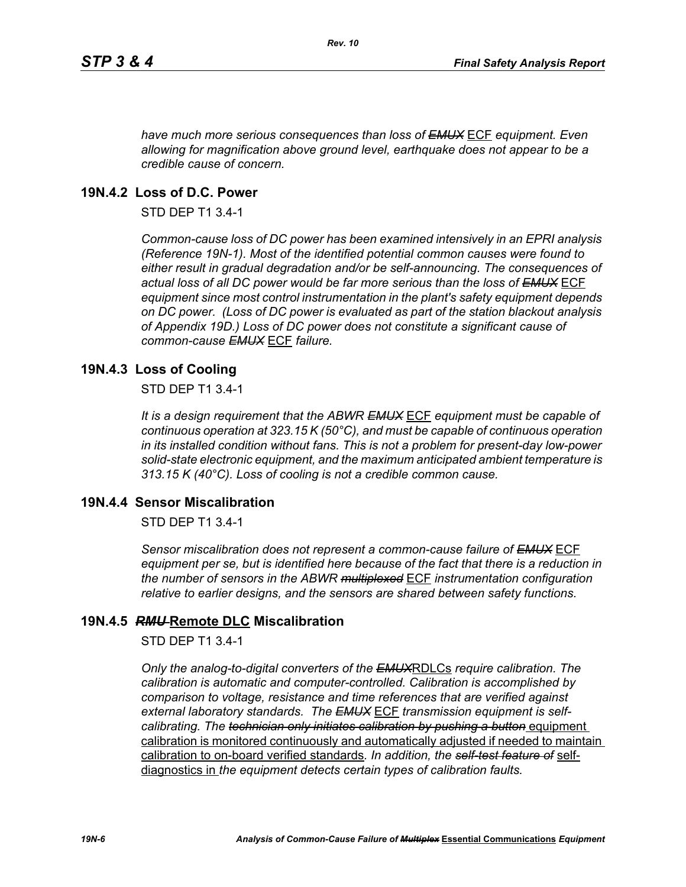*have much more serious consequences than loss of EMUX* ECF *equipment. Even allowing for magnification above ground level, earthquake does not appear to be a credible cause of concern.*

## **19N.4.2 Loss of D.C. Power**

STD DEP T1 3.4-1

*Common-cause loss of DC power has been examined intensively in an EPRI analysis (Reference 19N-1). Most of the identified potential common causes were found to either result in gradual degradation and/or be self-announcing. The consequences of actual loss of all DC power would be far more serious than the loss of EMUX* ECF *equipment since most control instrumentation in the plant's safety equipment depends on DC power. (Loss of DC power is evaluated as part of the station blackout analysis of Appendix 19D.) Loss of DC power does not constitute a significant cause of common-cause EMUX* ECF *failure.* 

## **19N.4.3 Loss of Cooling**

STD DEP T1 3.4-1

*It is a design requirement that the ABWR EMUX* ECF *equipment must be capable of continuous operation at 323.15 K (50°C), and must be capable of continuous operation in its installed condition without fans. This is not a problem for present-day low-power solid-state electronic equipment, and the maximum anticipated ambient temperature is 313.15 K (40°C). Loss of cooling is not a credible common cause.* 

## **19N.4.4 Sensor Miscalibration**

STD DEP T1 3.4-1

*Sensor miscalibration does not represent a common-cause failure of EMUX* ECF *equipment per se, but is identified here because of the fact that there is a reduction in the number of sensors in the ABWR multiplexed* ECF *instrumentation configuration relative to earlier designs, and the sensors are shared between safety functions.* 

## **19N.4.5** *RMU* **Remote DLC Miscalibration**

STD DEP T1 3.4-1

*Only the analog-to-digital converters of the EMUX*RDLCs *require calibration. The calibration is automatic and computer-controlled. Calibration is accomplished by comparison to voltage, resistance and time references that are verified against external laboratory standards. The EMUX* ECF *transmission equipment is selfcalibrating. The technician only initiates calibration by pushing a button equipment* calibration is monitored continuously and automatically adjusted if needed to maintain calibration to on-board verified standards*. In addition, the self-test feature of* selfdiagnostics in *the equipment detects certain types of calibration faults.*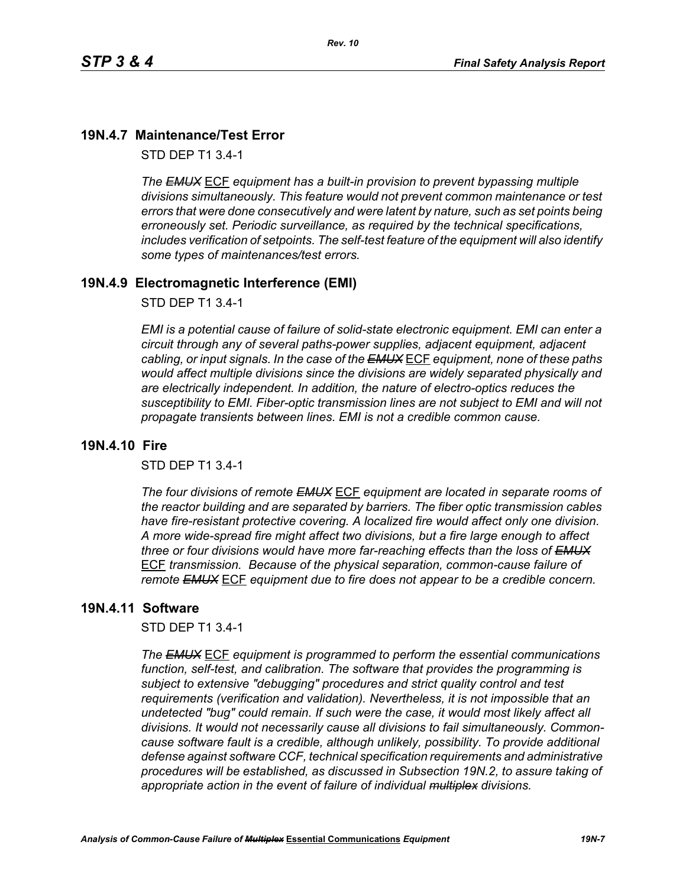# **19N.4.7 Maintenance/Test Error**

STD DEP T1 3.4-1

*The EMUX* ECF *equipment has a built-in provision to prevent bypassing multiple divisions simultaneously. This feature would not prevent common maintenance or test errors that were done consecutively and were latent by nature, such as set points being erroneously set. Periodic surveillance, as required by the technical specifications, includes verification of setpoints. The self-test feature of the equipment will also identify some types of maintenances/test errors.* 

## **19N.4.9 Electromagnetic Interference (EMI)**

STD DEP T1 3.4-1

*EMI is a potential cause of failure of solid-state electronic equipment. EMI can enter a circuit through any of several paths-power supplies, adjacent equipment, adjacent cabling, or input signals. In the case of the EMUX* ECF *equipment, none of these paths would affect multiple divisions since the divisions are widely separated physically and are electrically independent. In addition, the nature of electro-optics reduces the susceptibility to EMI. Fiber-optic transmission lines are not subject to EMI and will not propagate transients between lines. EMI is not a credible common cause.* 

## **19N.4.10 Fire**

STD DEP T1 3.4-1

*The four divisions of remote EMUX* ECF *equipment are located in separate rooms of the reactor building and are separated by barriers. The fiber optic transmission cables have fire-resistant protective covering. A localized fire would affect only one division. A more wide-spread fire might affect two divisions, but a fire large enough to affect three or four divisions would have more far-reaching effects than the loss of EMUX* ECF *transmission. Because of the physical separation, common-cause failure of remote EMUX* ECF *equipment due to fire does not appear to be a credible concern.* 

## **19N.4.11 Software**

STD DEP T1 3.4-1

*The EMUX* ECF *equipment is programmed to perform the essential communications function, self-test, and calibration. The software that provides the programming is subject to extensive "debugging" procedures and strict quality control and test requirements (verification and validation). Nevertheless, it is not impossible that an undetected "bug" could remain. If such were the case, it would most likely affect all divisions. It would not necessarily cause all divisions to fail simultaneously. Commoncause software fault is a credible, although unlikely, possibility. To provide additional defense against software CCF, technical specification requirements and administrative procedures will be established, as discussed in Subsection 19N.2, to assure taking of appropriate action in the event of failure of individual multiplex divisions.*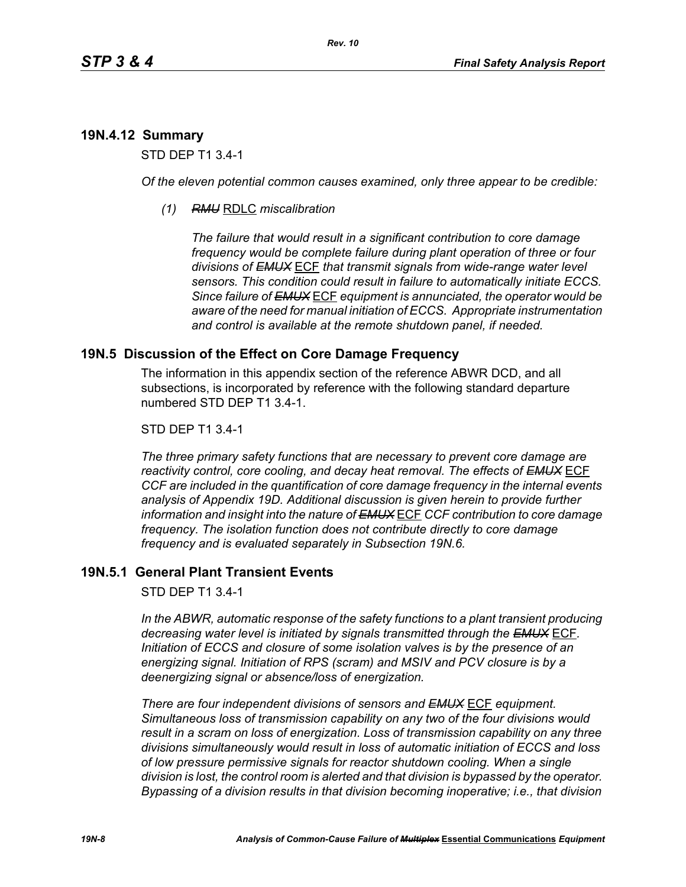# **19N.4.12 Summary**

STD DEP T1 3.4-1

*Of the eleven potential common causes examined, only three appear to be credible:* 

*(1) RMU* RDLC *miscalibration*

*The failure that would result in a significant contribution to core damage frequency would be complete failure during plant operation of three or four divisions of EMUX* ECF *that transmit signals from wide-range water level sensors. This condition could result in failure to automatically initiate ECCS. Since failure of EMUX* ECF *equipment is annunciated, the operator would be aware of the need for manual initiation of ECCS. Appropriate instrumentation and control is available at the remote shutdown panel, if needed.* 

## **19N.5 Discussion of the Effect on Core Damage Frequency**

The information in this appendix section of the reference ABWR DCD, and all subsections, is incorporated by reference with the following standard departure numbered STD DEP T1 3.4-1.

#### STD DEP T1 3.4-1

*The three primary safety functions that are necessary to prevent core damage are reactivity control, core cooling, and decay heat removal. The effects of EMUX* ECF *CCF are included in the quantification of core damage frequency in the internal events analysis of Appendix 19D. Additional discussion is given herein to provide further information and insight into the nature of EMUX* ECF *CCF contribution to core damage frequency. The isolation function does not contribute directly to core damage frequency and is evaluated separately in Subsection 19N.6.* 

## **19N.5.1 General Plant Transient Events**

STD DEP T1 3.4-1

*In the ABWR, automatic response of the safety functions to a plant transient producing decreasing water level is initiated by signals transmitted through the EMUX* ECF*. Initiation of ECCS and closure of some isolation valves is by the presence of an energizing signal. Initiation of RPS (scram) and MSIV and PCV closure is by a deenergizing signal or absence/loss of energization.* 

*There are four independent divisions of sensors and EMUX* ECF *equipment. Simultaneous loss of transmission capability on any two of the four divisions would result in a scram on loss of energization. Loss of transmission capability on any three divisions simultaneously would result in loss of automatic initiation of ECCS and loss of low pressure permissive signals for reactor shutdown cooling. When a single division is lost, the control room is alerted and that division is bypassed by the operator. Bypassing of a division results in that division becoming inoperative; i.e., that division*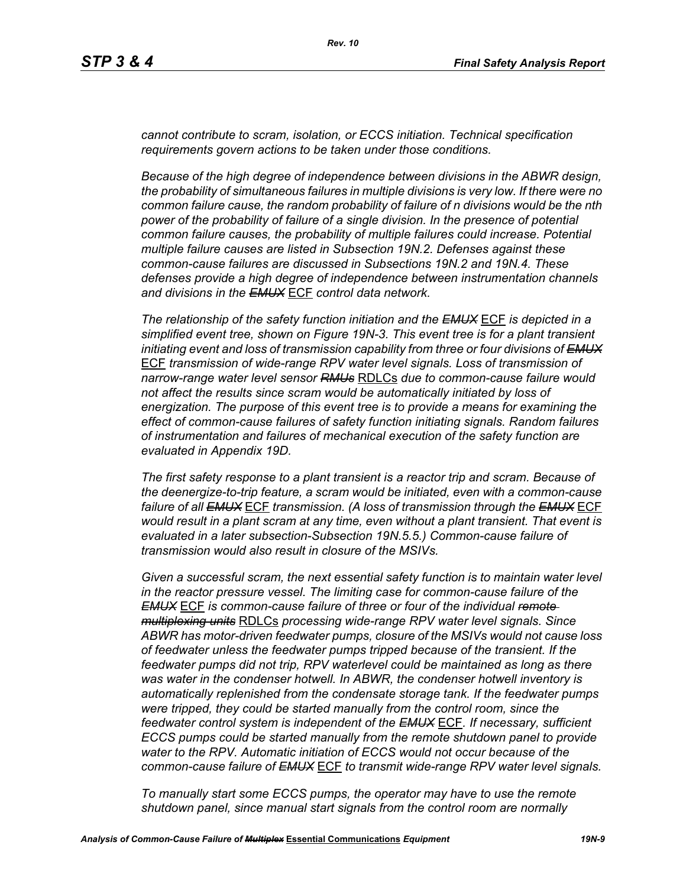*cannot contribute to scram, isolation, or ECCS initiation. Technical specification requirements govern actions to be taken under those conditions.* 

*Because of the high degree of independence between divisions in the ABWR design, the probability of simultaneous failures in multiple divisions is very low. If there were no common failure cause, the random probability of failure of n divisions would be the nth power of the probability of failure of a single division. In the presence of potential common failure causes, the probability of multiple failures could increase. Potential multiple failure causes are listed in Subsection 19N.2. Defenses against these common-cause failures are discussed in Subsections 19N.2 and 19N.4. These defenses provide a high degree of independence between instrumentation channels and divisions in the EMUX* ECF *control data network.* 

*The relationship of the safety function initiation and the EMUX* ECF *is depicted in a simplified event tree, shown on Figure 19N-3. This event tree is for a plant transient initiating event and loss of transmission capability from three or four divisions of EMUX* ECF *transmission of wide-range RPV water level signals. Loss of transmission of narrow-range water level sensor RMUs* RDLCs *due to common-cause failure would not affect the results since scram would be automatically initiated by loss of energization. The purpose of this event tree is to provide a means for examining the effect of common-cause failures of safety function initiating signals. Random failures of instrumentation and failures of mechanical execution of the safety function are evaluated in Appendix 19D.*

*The first safety response to a plant transient is a reactor trip and scram. Because of the deenergize-to-trip feature, a scram would be initiated, even with a common-cause failure of all EMUX* ECF *transmission. (A loss of transmission through the EMUX* ECF *would result in a plant scram at any time, even without a plant transient. That event is evaluated in a later subsection-Subsection 19N.5.5.) Common-cause failure of transmission would also result in closure of the MSIVs.* 

*Given a successful scram, the next essential safety function is to maintain water level in the reactor pressure vessel. The limiting case for common-cause failure of the EMUX* ECF *is common-cause failure of three or four of the individual remote multiplexing units* RDLCs *processing wide-range RPV water level signals. Since ABWR has motor-driven feedwater pumps, closure of the MSIVs would not cause loss of feedwater unless the feedwater pumps tripped because of the transient. If the feedwater pumps did not trip, RPV waterlevel could be maintained as long as there was water in the condenser hotwell. In ABWR, the condenser hotwell inventory is automatically replenished from the condensate storage tank. If the feedwater pumps were tripped, they could be started manually from the control room, since the feedwater control system is independent of the EMUX* ECF*. If necessary, sufficient ECCS pumps could be started manually from the remote shutdown panel to provide water to the RPV. Automatic initiation of ECCS would not occur because of the common-cause failure of EMUX* ECF *to transmit wide-range RPV water level signals.* 

*To manually start some ECCS pumps, the operator may have to use the remote shutdown panel, since manual start signals from the control room are normally*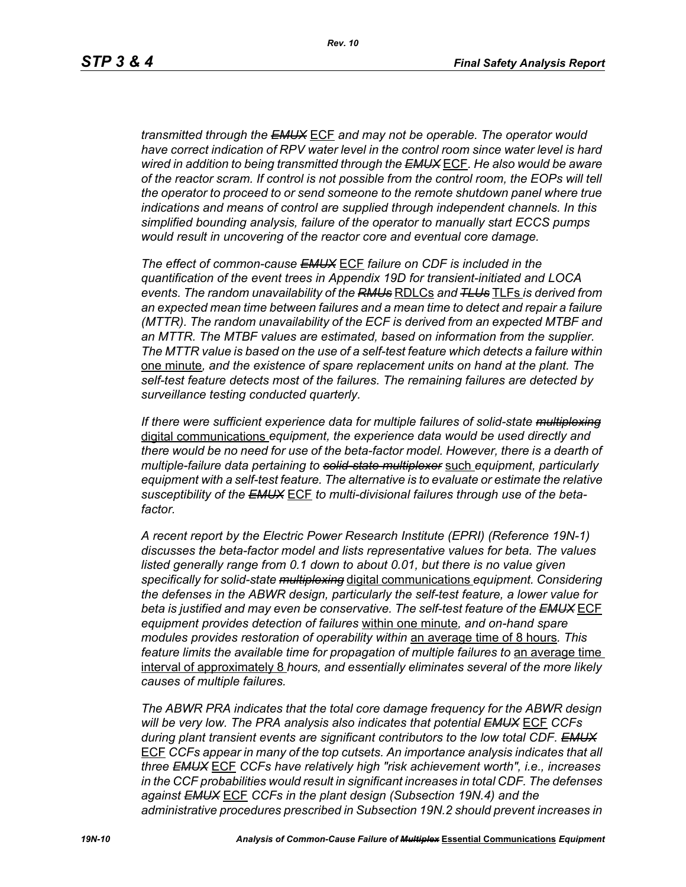*transmitted through the EMUX* ECF *and may not be operable. The operator would have correct indication of RPV water level in the control room since water level is hard wired in addition to being transmitted through the EMUX* ECF*. He also would be aware of the reactor scram. If control is not possible from the control room, the EOPs will tell the operator to proceed to or send someone to the remote shutdown panel where true indications and means of control are supplied through independent channels. In this simplified bounding analysis, failure of the operator to manually start ECCS pumps would result in uncovering of the reactor core and eventual core damage.*

*The effect of common-cause EMUX* ECF *failure on CDF is included in the quantification of the event trees in Appendix 19D for transient-initiated and LOCA events. The random unavailability of the RMUs* RDLCs *and TLUs* TLFs *is derived from an expected mean time between failures and a mean time to detect and repair a failure (MTTR). The random unavailability of the ECF is derived from an expected MTBF and an MTTR. The MTBF values are estimated, based on information from the supplier. The MTTR value is based on the use of a self-test feature which detects a failure within*  one minute*, and the existence of spare replacement units on hand at the plant. The self-test feature detects most of the failures. The remaining failures are detected by surveillance testing conducted quarterly.* 

*If there were sufficient experience data for multiple failures of solid-state multiplexing* digital communications *equipment, the experience data would be used directly and there would be no need for use of the beta-factor model. However, there is a dearth of multiple-failure data pertaining to solid-state multiplexer* such *equipment, particularly equipment with a self-test feature. The alternative is to evaluate or estimate the relative susceptibility of the EMUX* ECF *to multi-divisional failures through use of the betafactor.* 

*A recent report by the Electric Power Research Institute (EPRI) (Reference 19N-1) discusses the beta-factor model and lists representative values for beta. The values*  listed generally range from 0.1 down to about 0.01, but there is no value given *specifically for solid-state multiplexing* digital communications *equipment. Considering the defenses in the ABWR design, particularly the self-test feature, a lower value for beta is justified and may even be conservative. The self-test feature of the EMUX* ECF *equipment provides detection of failures* within one minute*, and on-hand spare modules provides restoration of operability within* an average time of 8 hours*. This feature limits the available time for propagation of multiple failures to an average time* interval of approximately 8 *hours, and essentially eliminates several of the more likely causes of multiple failures.* 

*The ABWR PRA indicates that the total core damage frequency for the ABWR design will be very low. The PRA analysis also indicates that potential EMUX* ECF *CCFs during plant transient events are significant contributors to the low total CDF. EMUX* ECF *CCFs appear in many of the top cutsets. An importance analysis indicates that all three EMUX* ECF *CCFs have relatively high "risk achievement worth", i.e., increases in the CCF probabilities would result in significant increases in total CDF. The defenses against EMUX* ECF *CCFs in the plant design (Subsection 19N.4) and the administrative procedures prescribed in Subsection 19N.2 should prevent increases in*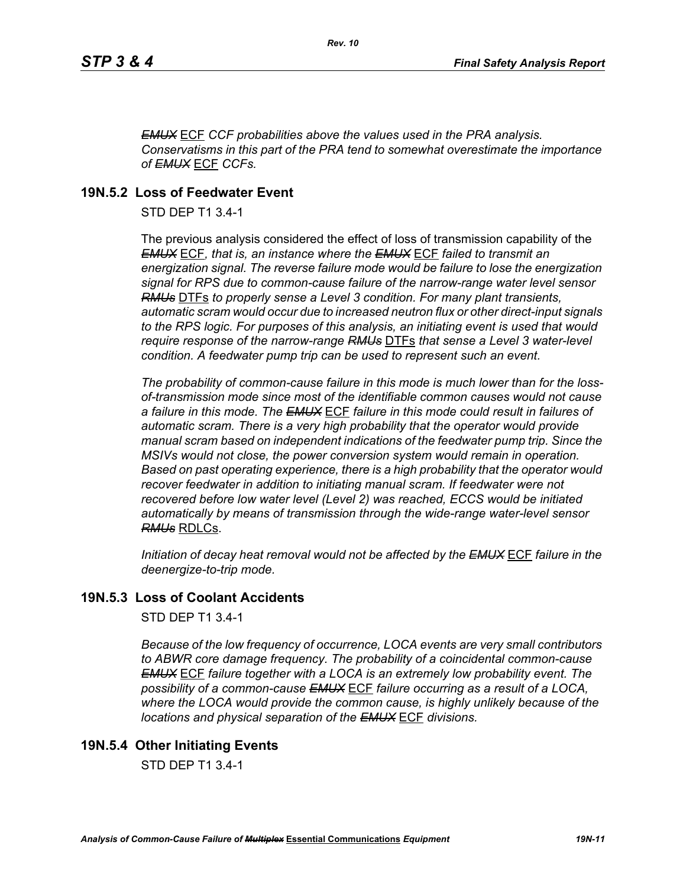*EMUX* ECF *CCF probabilities above the values used in the PRA analysis. Conservatisms in this part of the PRA tend to somewhat overestimate the importance of EMUX* ECF *CCFs.* 

# **19N.5.2 Loss of Feedwater Event**

STD DEP T1 3.4-1

The previous analysis considered the effect of loss of transmission capability of the *EMUX* ECF*, that is, an instance where the EMUX* ECF *failed to transmit an energization signal. The reverse failure mode would be failure to lose the energization signal for RPS due to common-cause failure of the narrow-range water level sensor RMUs* DTFs *to properly sense a Level 3 condition. For many plant transients, automatic scram would occur due to increased neutron flux or other direct-input signals to the RPS logic. For purposes of this analysis, an initiating event is used that would require response of the narrow-range RMUs* DTFs *that sense a Level 3 water-level condition. A feedwater pump trip can be used to represent such an event.*

*The probability of common-cause failure in this mode is much lower than for the lossof-transmission mode since most of the identifiable common causes would not cause a failure in this mode. The EMUX* ECF *failure in this mode could result in failures of automatic scram. There is a very high probability that the operator would provide manual scram based on independent indications of the feedwater pump trip. Since the MSIVs would not close, the power conversion system would remain in operation. Based on past operating experience, there is a high probability that the operator would recover feedwater in addition to initiating manual scram. If feedwater were not recovered before low water level (Level 2) was reached, ECCS would be initiated automatically by means of transmission through the wide-range water-level sensor RMUs* RDLCs.

*Initiation of decay heat removal would not be affected by the EMUX* ECF *failure in the deenergize-to-trip mode.*

# **19N.5.3 Loss of Coolant Accidents**

STD DEP T1 3.4-1

*Because of the low frequency of occurrence, LOCA events are very small contributors to ABWR core damage frequency. The probability of a coincidental common-cause EMUX* ECF *failure together with a LOCA is an extremely low probability event. The possibility of a common-cause EMUX* ECF *failure occurring as a result of a LOCA, where the LOCA would provide the common cause, is highly unlikely because of the locations and physical separation of the EMUX* ECF *divisions.* 

# **19N.5.4 Other Initiating Events**

STD DEP T1 3.4-1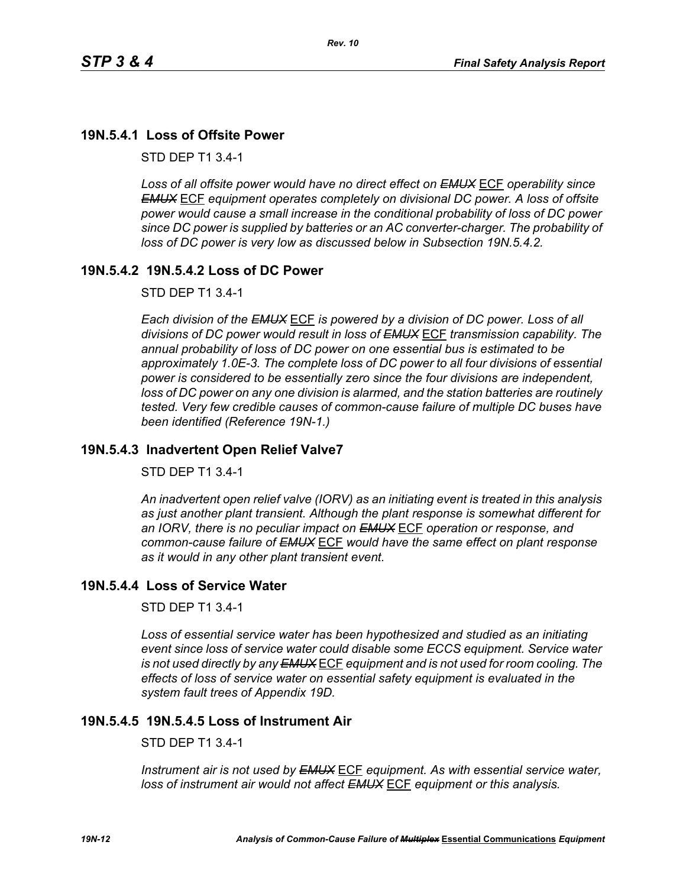# **19N.5.4.1 Loss of Offsite Power**

STD DEP T1 3.4-1

*Loss of all offsite power would have no direct effect on EMUX* ECF *operability since EMUX* ECF *equipment operates completely on divisional DC power. A loss of offsite power would cause a small increase in the conditional probability of loss of DC power since DC power is supplied by batteries or an AC converter-charger. The probability of loss of DC power is very low as discussed below in Subsection 19N.5.4.2.* 

# **19N.5.4.2 19N.5.4.2 Loss of DC Power**

STD DEP T1 3.4-1

*Each division of the EMUX* ECF *is powered by a division of DC power. Loss of all divisions of DC power would result in loss of EMUX* ECF *transmission capability. The annual probability of loss of DC power on one essential bus is estimated to be approximately 1.0E-3. The complete loss of DC power to all four divisions of essential power is considered to be essentially zero since the four divisions are independent, loss of DC power on any one division is alarmed, and the station batteries are routinely tested. Very few credible causes of common-cause failure of multiple DC buses have been identified (Reference 19N-1.)*

## **19N.5.4.3 Inadvertent Open Relief Valve7**

STD DEP T1 3.4-1

*An inadvertent open relief valve (IORV) as an initiating event is treated in this analysis as just another plant transient. Although the plant response is somewhat different for an IORV, there is no peculiar impact on EMUX* ECF *operation or response, and common-cause failure of EMUX* ECF *would have the same effect on plant response as it would in any other plant transient event.*

# **19N.5.4.4 Loss of Service Water**

STD DEP T1 3.4-1

*Loss of essential service water has been hypothesized and studied as an initiating event since loss of service water could disable some ECCS equipment. Service water is not used directly by any EMUX* ECF *equipment and is not used for room cooling. The effects of loss of service water on essential safety equipment is evaluated in the system fault trees of Appendix 19D.* 

# **19N.5.4.5 19N.5.4.5 Loss of Instrument Air**

STD DEP T1 3.4-1

*Instrument air is not used by EMUX* ECF *equipment. As with essential service water, loss of instrument air would not affect EMUX* ECF *equipment or this analysis.*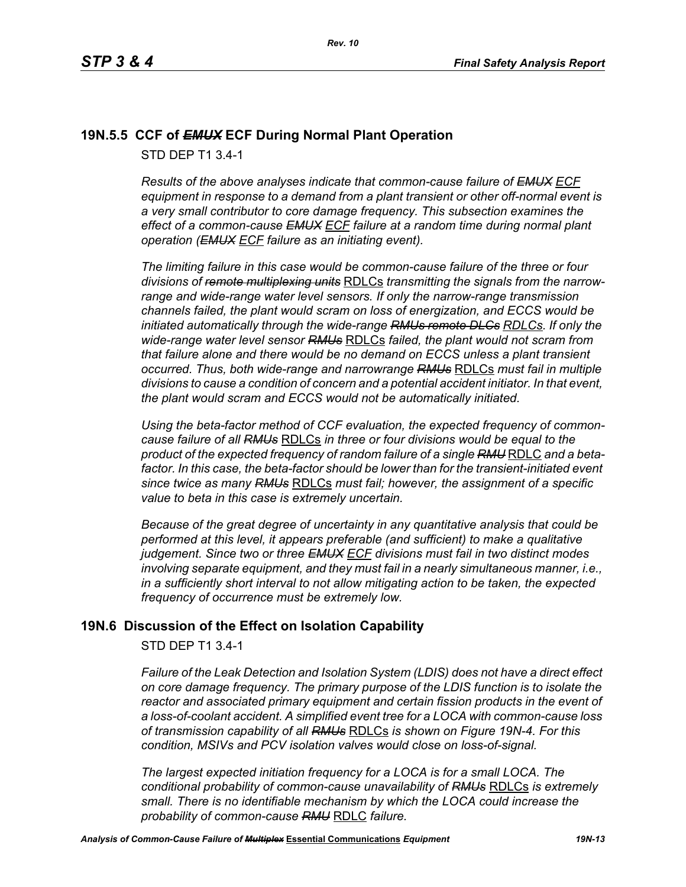# **19N.5.5 CCF of** *EMUX* **ECF During Normal Plant Operation**

STD DEP T1 3.4-1

*Results of the above analyses indicate that common-cause failure of EMUX ECF equipment in response to a demand from a plant transient or other off-normal event is a very small contributor to core damage frequency. This subsection examines the effect of a common-cause EMUX ECF failure at a random time during normal plant operation (EMUX ECF failure as an initiating event).* 

*The limiting failure in this case would be common-cause failure of the three or four divisions of remote multiplexing units* RDLCs *transmitting the signals from the narrowrange and wide-range water level sensors. If only the narrow-range transmission channels failed, the plant would scram on loss of energization, and ECCS would be initiated automatically through the wide-range RMUs remote DLCs RDLCs. If only the wide-range water level sensor RMUs* RDLCs *failed, the plant would not scram from that failure alone and there would be no demand on ECCS unless a plant transient occurred. Thus, both wide-range and narrowrange RMUs* RDLCs *must fail in multiple divisions to cause a condition of concern and a potential accident initiator. In that event, the plant would scram and ECCS would not be automatically initiated.* 

*Using the beta-factor method of CCF evaluation, the expected frequency of commoncause failure of all RMUs* RDLCs *in three or four divisions would be equal to the product of the expected frequency of random failure of a single RMU* RDLC *and a beta*factor. In this case, the beta-factor should be lower than for the transient-initiated event *since twice as many RMUs* RDLCs *must fail; however, the assignment of a specific value to beta in this case is extremely uncertain.* 

*Because of the great degree of uncertainty in any quantitative analysis that could be performed at this level, it appears preferable (and sufficient) to make a qualitative judgement. Since two or three EMUX ECF divisions must fail in two distinct modes involving separate equipment, and they must fail in a nearly simultaneous manner, i.e., in a sufficiently short interval to not allow mitigating action to be taken, the expected frequency of occurrence must be extremely low.*

# **19N.6 Discussion of the Effect on Isolation Capability**

STD DEP T1 3.4-1

*Failure of the Leak Detection and Isolation System (LDIS) does not have a direct effect on core damage frequency. The primary purpose of the LDIS function is to isolate the reactor and associated primary equipment and certain fission products in the event of a loss-of-coolant accident. A simplified event tree for a LOCA with common-cause loss of transmission capability of all RMUs* RDLCs *is shown on Figure 19N-4. For this condition, MSIVs and PCV isolation valves would close on loss-of-signal.* 

*The largest expected initiation frequency for a LOCA is for a small LOCA. The conditional probability of common-cause unavailability of RMUs* RDLCs *is extremely small. There is no identifiable mechanism by which the LOCA could increase the probability of common-cause RMU* RDLC *failure.*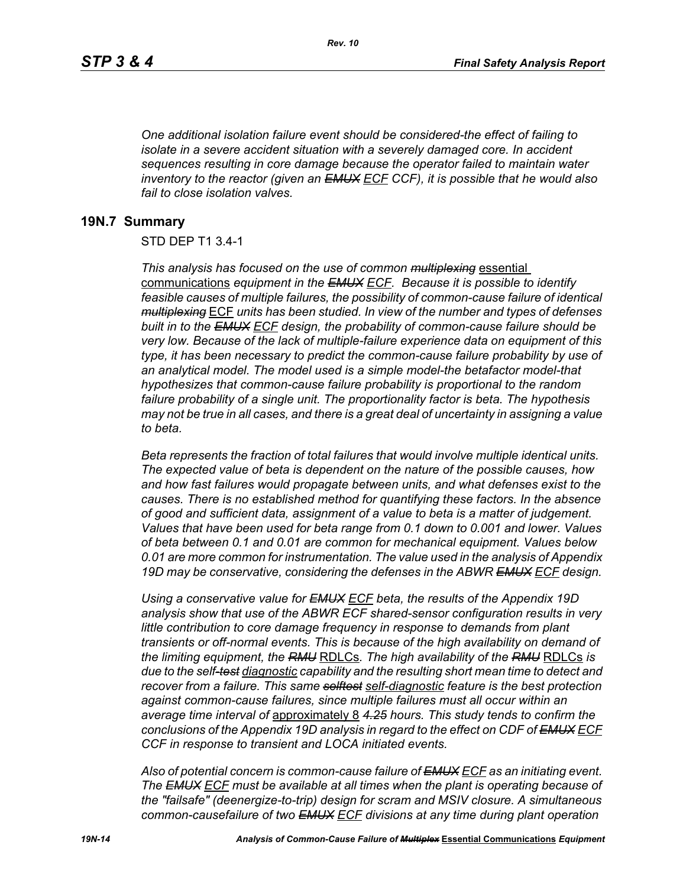*One additional isolation failure event should be considered-the effect of failing to isolate in a severe accident situation with a severely damaged core. In accident sequences resulting in core damage because the operator failed to maintain water inventory to the reactor (given an EMUX ECF CCF), it is possible that he would also fail to close isolation valves.*

#### **19N.7 Summary**

#### STD DEP T1 3.4-1

*This analysis has focused on the use of common multiplexing* essential communications *equipment in the EMUX ECF. Because it is possible to identify feasible causes of multiple failures, the possibility of common-cause failure of identical multiplexing* ECF *units has been studied. In view of the number and types of defenses built in to the EMUX ECF design, the probability of common-cause failure should be very low. Because of the lack of multiple-failure experience data on equipment of this type, it has been necessary to predict the common-cause failure probability by use of an analytical model. The model used is a simple model-the betafactor model-that hypothesizes that common-cause failure probability is proportional to the random failure probability of a single unit. The proportionality factor is beta. The hypothesis may not be true in all cases, and there is a great deal of uncertainty in assigning a value to beta.* 

*Beta represents the fraction of total failures that would involve multiple identical units. The expected value of beta is dependent on the nature of the possible causes, how and how fast failures would propagate between units, and what defenses exist to the causes. There is no established method for quantifying these factors. In the absence of good and sufficient data, assignment of a value to beta is a matter of judgement. Values that have been used for beta range from 0.1 down to 0.001 and lower. Values of beta between 0.1 and 0.01 are common for mechanical equipment. Values below 0.01 are more common for instrumentation. The value used in the analysis of Appendix 19D may be conservative, considering the defenses in the ABWR EMUX ECF design.* 

*Using a conservative value for EMUX ECF beta, the results of the Appendix 19D analysis show that use of the ABWR ECF shared-sensor configuration results in very little contribution to core damage frequency in response to demands from plant transients or off-normal events. This is because of the high availability on demand of the limiting equipment, the RMU* RDLCs*. The high availability of the RMU* RDLCs *is due to the self-test diagnostic capability and the resulting short mean time to detect and recover from a failure. This same selftest self-diagnostic feature is the best protection against common-cause failures, since multiple failures must all occur within an average time interval of* approximately 8 *4.25 hours. This study tends to confirm the conclusions of the Appendix 19D analysis in regard to the effect on CDF of EMUX ECF CCF in response to transient and LOCA initiated events.*

*Also of potential concern is common-cause failure of EMUX ECF as an initiating event. The EMUX ECF must be available at all times when the plant is operating because of the "failsafe" (deenergize-to-trip) design for scram and MSIV closure. A simultaneous common-causefailure of two EMUX ECF divisions at any time during plant operation*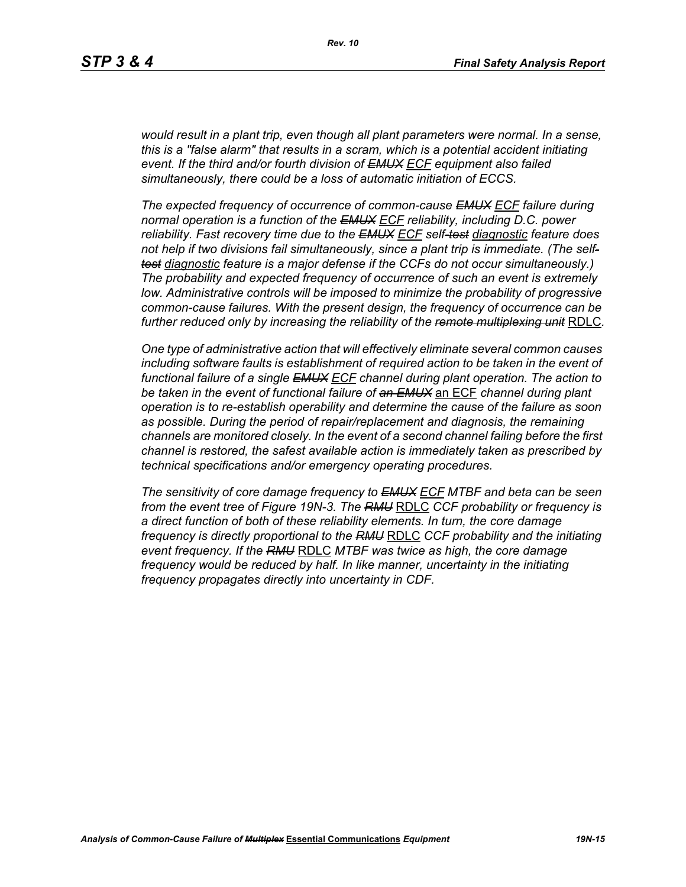*would result in a plant trip, even though all plant parameters were normal. In a sense, this is a "false alarm" that results in a scram, which is a potential accident initiating event. If the third and/or fourth division of EMUX ECF equipment also failed simultaneously, there could be a loss of automatic initiation of ECCS.* 

*The expected frequency of occurrence of common-cause EMUX ECF failure during normal operation is a function of the EMUX ECF reliability, including D.C. power reliability. Fast recovery time due to the EMUX ECF self-test diagnostic feature does not help if two divisions fail simultaneously, since a plant trip is immediate. (The selftest diagnostic feature is a major defense if the CCFs do not occur simultaneously.) The probability and expected frequency of occurrence of such an event is extremely low. Administrative controls will be imposed to minimize the probability of progressive common-cause failures. With the present design, the frequency of occurrence can be further reduced only by increasing the reliability of the remote multiplexing unit* RDLC*.*

*One type of administrative action that will effectively eliminate several common causes including software faults is establishment of required action to be taken in the event of functional failure of a single EMUX ECF channel during plant operation. The action to be taken in the event of functional failure of an EMUX* an ECF *channel during plant operation is to re-establish operability and determine the cause of the failure as soon as possible. During the period of repair/replacement and diagnosis, the remaining channels are monitored closely. In the event of a second channel failing before the first channel is restored, the safest available action is immediately taken as prescribed by technical specifications and/or emergency operating procedures.* 

*The sensitivity of core damage frequency to EMUX ECF MTBF and beta can be seen from the event tree of Figure 19N-3. The RMU* RDLC *CCF probability or frequency is a direct function of both of these reliability elements. In turn, the core damage frequency is directly proportional to the RMU* RDLC *CCF probability and the initiating event frequency. If the RMU* RDLC *MTBF was twice as high, the core damage frequency would be reduced by half. In like manner, uncertainty in the initiating frequency propagates directly into uncertainty in CDF.*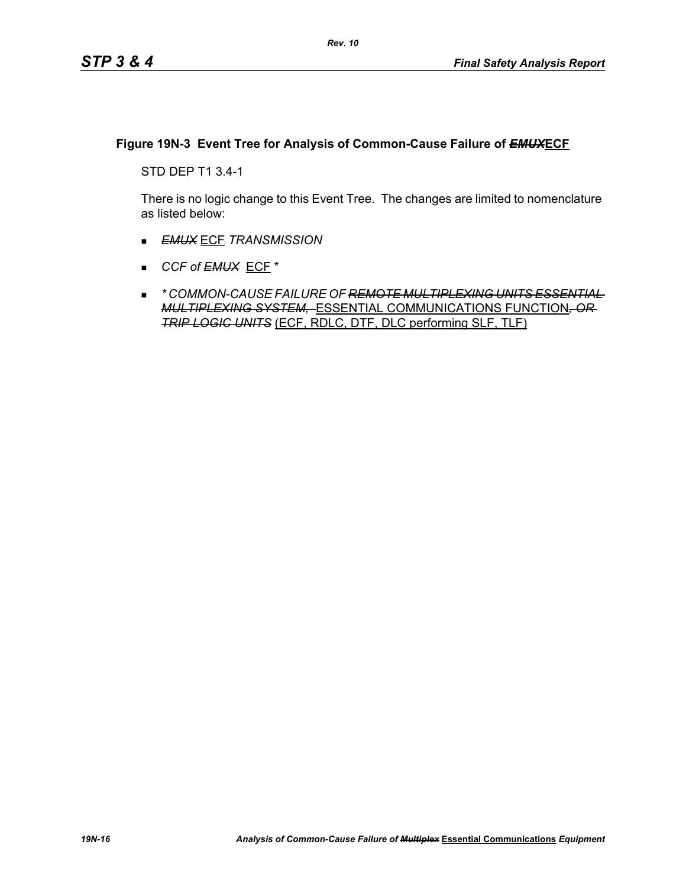## **Figure 19N-3 Event Tree for Analysis of Common-Cause Failure of** *EMUX***ECF**

STD DEP T1 3.4-1

There is no logic change to this Event Tree. The changes are limited to nomenclature as listed below:

- *EMUX* ECF *TRANSMISSION*
- *CCF of EMUX* ECF \*
- *\* COMMON-CAUSE FAILURE OF REMOTE MULTIPLEXING UNITS ESSENTIAL MULTIPLEXING SYSTEM,* ESSENTIAL COMMUNICATIONS FUNCTION*, OR TRIP LOGIC UNITS* (ECF, RDLC, DTF, DLC performing SLF, TLF)